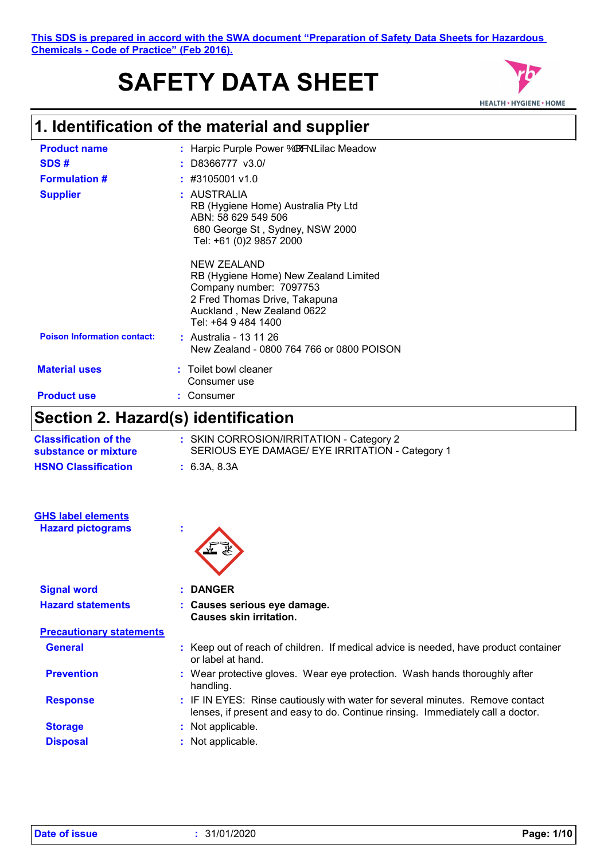# **SAFETY DATA SHEET**



# **1. Identification of the material and supplier**

| <b>Product name</b>                 | : Harpic Purple Power $\dot{O}$ & $\dot{A}$ llac Meadow                                                                                                                      |
|-------------------------------------|------------------------------------------------------------------------------------------------------------------------------------------------------------------------------|
| SDS#                                | $:$ D8366777 v3.0S                                                                                                                                                           |
| <b>Formulation #</b>                | $\div$ #3105001 v1.0                                                                                                                                                         |
| <b>Supplier</b>                     | : AUSTRALIA<br>RB (Hygiene Home) Australia Pty Ltd<br>ABN: 58 629 549 506<br>680 George St, Sydney, NSW 2000<br>Tel: +61 (0)2 9857 2000                                      |
|                                     | <b>NEW ZEALAND</b><br>RB (Hygiene Home) New Zealand Limited<br>Company number: 7097753<br>2 Fred Thomas Drive, Takapuna<br>Auckland, New Zealand 0622<br>Tel: +64 9 484 1400 |
| <b>Poison Information contact:</b>  | : Australia - 13 11 26<br>New Zealand - 0800 764 766 or 0800 POISON                                                                                                          |
| <b>Material uses</b>                | : Toilet bowl cleaner<br>Consumer use                                                                                                                                        |
| <b>Product use</b>                  | Consumer                                                                                                                                                                     |
| Section 2. Hazard(s) identification |                                                                                                                                                                              |

| <b>Classification of the</b><br>substance or mixture | : SKIN CORROSION/IRRITATION - Category 2<br>SERIOUS EYE DAMAGE/ EYE IRRITATION - Category 1 |
|------------------------------------------------------|---------------------------------------------------------------------------------------------|
| <b>HSNO Classification</b>                           | : 6.3A, 8.3A                                                                                |
|                                                      |                                                                                             |
|                                                      |                                                                                             |
|                                                      |                                                                                             |
| <b>GHS label elements</b>                            |                                                                                             |

### **Hazard pictograms :**



| <b>Signal word</b>              | : DANGER                                                                                                                                                         |
|---------------------------------|------------------------------------------------------------------------------------------------------------------------------------------------------------------|
| <b>Hazard statements</b>        | : Causes serious eye damage.<br><b>Causes skin irritation.</b>                                                                                                   |
| <b>Precautionary statements</b> |                                                                                                                                                                  |
| <b>General</b>                  | : Keep out of reach of children. If medical advice is needed, have product container<br>or label at hand.                                                        |
| <b>Prevention</b>               | : Wear protective gloves. Wear eye protection. Wash hands thoroughly after<br>handling.                                                                          |
| <b>Response</b>                 | : IF IN EYES: Rinse cautiously with water for several minutes. Remove contact<br>lenses, if present and easy to do. Continue rinsing. Immediately call a doctor. |
| <b>Storage</b>                  | : Not applicable.                                                                                                                                                |
| <b>Disposal</b>                 | Not applicable.                                                                                                                                                  |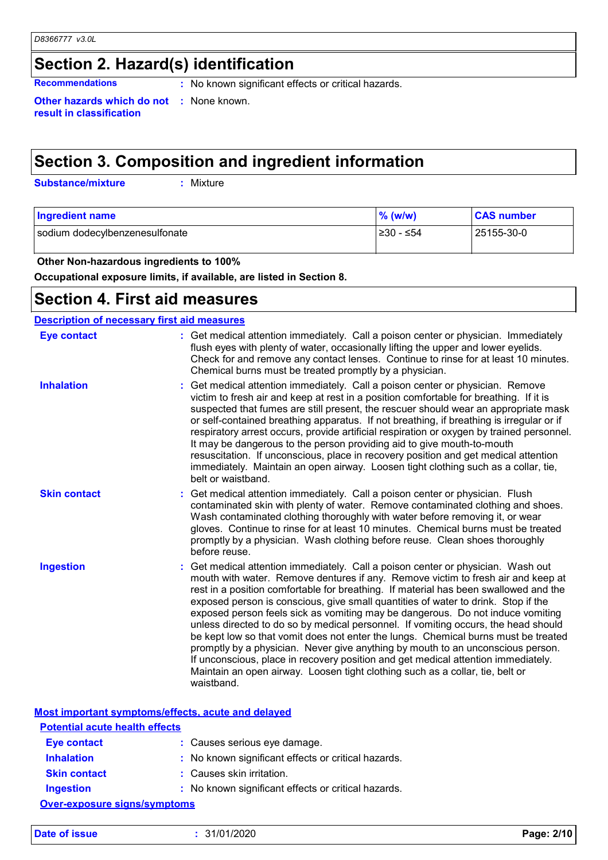# **Section 2. Hazard(s) identification**

**Recommendations** : No known significant effects or critical hazards.

**Other hazards which do not :** None known. **result in classification**

# **Section 3. Composition and ingredient information**

**Substance/mixture :**

: Mixture

| <b>Ingredient name</b>         | $\%$ (w/w) | <b>CAS number</b> |
|--------------------------------|------------|-------------------|
| sodium dodecylbenzenesulfonate | ⊺≥30 - ≤54 | 25155-30-0        |

 **Other Non-hazardous ingredients to 100%**

**Occupational exposure limits, if available, are listed in Section 8.**

### **Section 4. First aid measures**

| <b>Description of necessary first aid measures</b> |                                                                                                                                                                                                                                                                                                                                                                                                                                                                                                                                                                                                                                                                                                                                                                                                                                                                                      |
|----------------------------------------------------|--------------------------------------------------------------------------------------------------------------------------------------------------------------------------------------------------------------------------------------------------------------------------------------------------------------------------------------------------------------------------------------------------------------------------------------------------------------------------------------------------------------------------------------------------------------------------------------------------------------------------------------------------------------------------------------------------------------------------------------------------------------------------------------------------------------------------------------------------------------------------------------|
| <b>Eye contact</b>                                 | : Get medical attention immediately. Call a poison center or physician. Immediately<br>flush eyes with plenty of water, occasionally lifting the upper and lower eyelids.<br>Check for and remove any contact lenses. Continue to rinse for at least 10 minutes.<br>Chemical burns must be treated promptly by a physician.                                                                                                                                                                                                                                                                                                                                                                                                                                                                                                                                                          |
| <b>Inhalation</b>                                  | Get medical attention immediately. Call a poison center or physician. Remove<br>victim to fresh air and keep at rest in a position comfortable for breathing. If it is<br>suspected that fumes are still present, the rescuer should wear an appropriate mask<br>or self-contained breathing apparatus. If not breathing, if breathing is irregular or if<br>respiratory arrest occurs, provide artificial respiration or oxygen by trained personnel.<br>It may be dangerous to the person providing aid to give mouth-to-mouth<br>resuscitation. If unconscious, place in recovery position and get medical attention<br>immediately. Maintain an open airway. Loosen tight clothing such as a collar, tie,<br>belt or waistband.                                                                                                                                                  |
| <b>Skin contact</b>                                | : Get medical attention immediately. Call a poison center or physician. Flush<br>contaminated skin with plenty of water. Remove contaminated clothing and shoes.<br>Wash contaminated clothing thoroughly with water before removing it, or wear<br>gloves. Continue to rinse for at least 10 minutes. Chemical burns must be treated<br>promptly by a physician. Wash clothing before reuse. Clean shoes thoroughly<br>before reuse.                                                                                                                                                                                                                                                                                                                                                                                                                                                |
| <b>Ingestion</b>                                   | Get medical attention immediately. Call a poison center or physician. Wash out<br>mouth with water. Remove dentures if any. Remove victim to fresh air and keep at<br>rest in a position comfortable for breathing. If material has been swallowed and the<br>exposed person is conscious, give small quantities of water to drink. Stop if the<br>exposed person feels sick as vomiting may be dangerous. Do not induce vomiting<br>unless directed to do so by medical personnel. If vomiting occurs, the head should<br>be kept low so that vomit does not enter the lungs. Chemical burns must be treated<br>promptly by a physician. Never give anything by mouth to an unconscious person.<br>If unconscious, place in recovery position and get medical attention immediately.<br>Maintain an open airway. Loosen tight clothing such as a collar, tie, belt or<br>waistband. |

**Most important symptoms/effects, acute and delayed**

| <b>Potential acute health effects</b> |                                                     |
|---------------------------------------|-----------------------------------------------------|
| <b>Eye contact</b>                    | : Causes serious eye damage.                        |
| <b>Inhalation</b>                     | : No known significant effects or critical hazards. |
| <b>Skin contact</b>                   | : Causes skin irritation.                           |
| Ingestion                             | : No known significant effects or critical hazards. |
| <b>Over-exposure signs/symptoms</b>   |                                                     |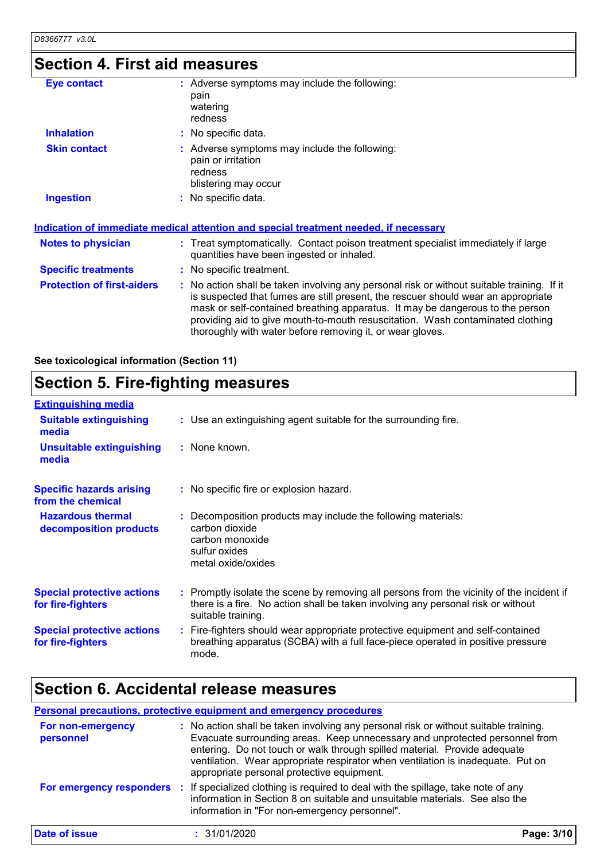# **Section 4. First aid measures**

| <b>Eye contact</b>                | : Adverse symptoms may include the following:<br>pain<br>watering<br>redness                                                                                                                                                                                                                                                                                                                                    |
|-----------------------------------|-----------------------------------------------------------------------------------------------------------------------------------------------------------------------------------------------------------------------------------------------------------------------------------------------------------------------------------------------------------------------------------------------------------------|
| <b>Inhalation</b>                 | : No specific data.                                                                                                                                                                                                                                                                                                                                                                                             |
| <b>Skin contact</b>               | : Adverse symptoms may include the following:<br>pain or irritation<br>redness<br>blistering may occur                                                                                                                                                                                                                                                                                                          |
| <b>Ingestion</b>                  | : No specific data.                                                                                                                                                                                                                                                                                                                                                                                             |
|                                   | <u>Indication of immediate medical attention and special treatment needed, if necessary</u>                                                                                                                                                                                                                                                                                                                     |
| <b>Notes to physician</b>         | : Treat symptomatically. Contact poison treatment specialist immediately if large<br>quantities have been ingested or inhaled.                                                                                                                                                                                                                                                                                  |
| <b>Specific treatments</b>        | : No specific treatment.                                                                                                                                                                                                                                                                                                                                                                                        |
| <b>Protection of first-aiders</b> | : No action shall be taken involving any personal risk or without suitable training. If it<br>is suspected that fumes are still present, the rescuer should wear an appropriate<br>mask or self-contained breathing apparatus. It may be dangerous to the person<br>providing aid to give mouth-to-mouth resuscitation. Wash contaminated clothing<br>thoroughly with water before removing it, or wear gloves. |

**See toxicological information (Section 11)**

### **Section 5. Fire-fighting measures**

| <b>Extinguishing media</b>                             |                                                                                                                                                                                                     |
|--------------------------------------------------------|-----------------------------------------------------------------------------------------------------------------------------------------------------------------------------------------------------|
| <b>Suitable extinguishing</b><br>media                 | : Use an extinguishing agent suitable for the surrounding fire.                                                                                                                                     |
| <b>Unsuitable extinguishing</b><br>media               | : None known.                                                                                                                                                                                       |
| <b>Specific hazards arising</b><br>from the chemical   | : No specific fire or explosion hazard.                                                                                                                                                             |
| <b>Hazardous thermal</b><br>decomposition products     | : Decomposition products may include the following materials:<br>carbon dioxide<br>carbon monoxide<br>sulfur oxides<br>metal oxide/oxides                                                           |
| <b>Special protective actions</b><br>for fire-fighters | : Promptly isolate the scene by removing all persons from the vicinity of the incident if<br>there is a fire. No action shall be taken involving any personal risk or without<br>suitable training. |
| <b>Special protective actions</b><br>for fire-fighters | : Fire-fighters should wear appropriate protective equipment and self-contained<br>breathing apparatus (SCBA) with a full face-piece operated in positive pressure<br>mode.                         |

### **Section 6. Accidental release measures**

#### **Personal precautions, protective equipment and emergency procedures**

| For non-emergency<br>personnel | : No action shall be taken involving any personal risk or without suitable training.<br>Evacuate surrounding areas. Keep unnecessary and unprotected personnel from<br>entering. Do not touch or walk through spilled material. Provide adequate<br>ventilation. Wear appropriate respirator when ventilation is inadequate. Put on<br>appropriate personal protective equipment. |            |
|--------------------------------|-----------------------------------------------------------------------------------------------------------------------------------------------------------------------------------------------------------------------------------------------------------------------------------------------------------------------------------------------------------------------------------|------------|
| For emergency responders       | If specialized clothing is required to deal with the spillage, take note of any<br>information in Section 8 on suitable and unsuitable materials. See also the<br>information in "For non-emergency personnel".                                                                                                                                                                   |            |
| Date of issue                  | : 31/01/2020                                                                                                                                                                                                                                                                                                                                                                      | Page: 3/10 |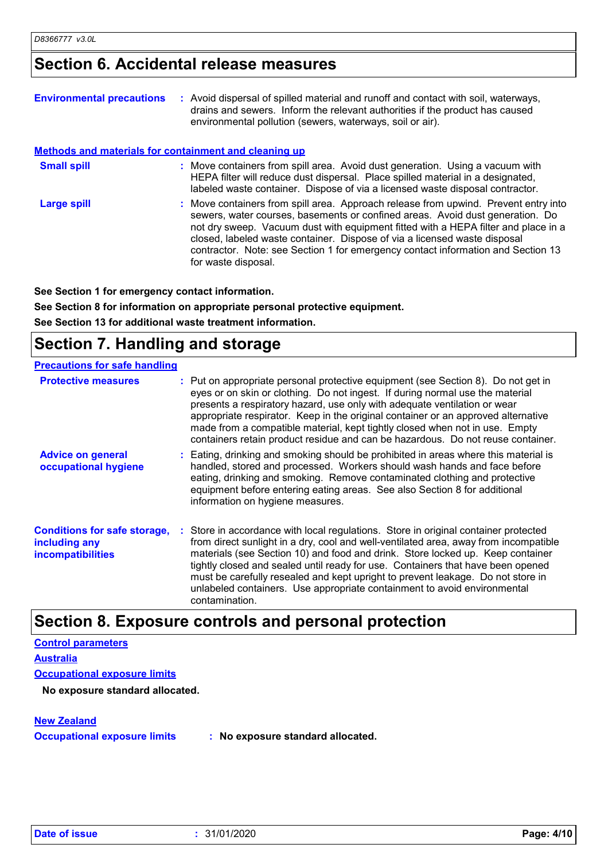### **Section 6. Accidental release measures**

| <b>Environmental precautions</b>                             | : Avoid dispersal of spilled material and runoff and contact with soil, waterways,<br>drains and sewers. Inform the relevant authorities if the product has caused<br>environmental pollution (sewers, waterways, soil or air).                                                                                                                                                                                                                    |
|--------------------------------------------------------------|----------------------------------------------------------------------------------------------------------------------------------------------------------------------------------------------------------------------------------------------------------------------------------------------------------------------------------------------------------------------------------------------------------------------------------------------------|
| <b>Methods and materials for containment and cleaning up</b> |                                                                                                                                                                                                                                                                                                                                                                                                                                                    |
| <b>Small spill</b>                                           | : Move containers from spill area. Avoid dust generation. Using a vacuum with<br>HEPA filter will reduce dust dispersal. Place spilled material in a designated,<br>labeled waste container. Dispose of via a licensed waste disposal contractor.                                                                                                                                                                                                  |
| Large spill                                                  | : Move containers from spill area. Approach release from upwind. Prevent entry into<br>sewers, water courses, basements or confined areas. Avoid dust generation. Do<br>not dry sweep. Vacuum dust with equipment fitted with a HEPA filter and place in a<br>closed, labeled waste container. Dispose of via a licensed waste disposal<br>contractor. Note: see Section 1 for emergency contact information and Section 13<br>for waste disposal. |

**See Section 1 for emergency contact information.**

**See Section 8 for information on appropriate personal protective equipment. See Section 13 for additional waste treatment information.**

# **Section 7. Handling and storage**

| <b>Precautions for safe handling</b>                                             |                                                                                                                                                                                                                                                                                                                                                                                                                                                                                                                                   |
|----------------------------------------------------------------------------------|-----------------------------------------------------------------------------------------------------------------------------------------------------------------------------------------------------------------------------------------------------------------------------------------------------------------------------------------------------------------------------------------------------------------------------------------------------------------------------------------------------------------------------------|
| <b>Protective measures</b>                                                       | : Put on appropriate personal protective equipment (see Section 8). Do not get in<br>eyes or on skin or clothing. Do not ingest. If during normal use the material<br>presents a respiratory hazard, use only with adequate ventilation or wear<br>appropriate respirator. Keep in the original container or an approved alternative<br>made from a compatible material, kept tightly closed when not in use. Empty<br>containers retain product residue and can be hazardous. Do not reuse container.                            |
| <b>Advice on general</b><br>occupational hygiene                                 | : Eating, drinking and smoking should be prohibited in areas where this material is<br>handled, stored and processed. Workers should wash hands and face before<br>eating, drinking and smoking. Remove contaminated clothing and protective<br>equipment before entering eating areas. See also Section 8 for additional<br>information on hygiene measures.                                                                                                                                                                     |
| <b>Conditions for safe storage,</b><br>including any<br><b>incompatibilities</b> | : Store in accordance with local regulations. Store in original container protected<br>from direct sunlight in a dry, cool and well-ventilated area, away from incompatible<br>materials (see Section 10) and food and drink. Store locked up. Keep container<br>tightly closed and sealed until ready for use. Containers that have been opened<br>must be carefully resealed and kept upright to prevent leakage. Do not store in<br>unlabeled containers. Use appropriate containment to avoid environmental<br>contamination. |

### **Section 8. Exposure controls and personal protection**

```
Control parameters
Occupational exposure limits
Australia
New Zealand
 No exposure standard allocated.
```
**Occupational exposure limits : No exposure standard allocated.**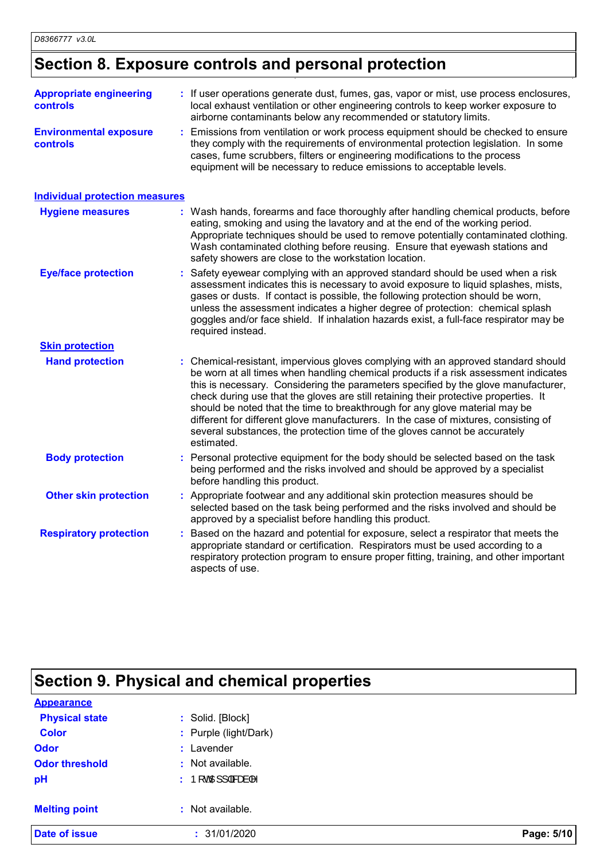# **Section 8. Exposure controls and personal protection**

| <b>Appropriate engineering</b><br>controls | : If user operations generate dust, fumes, gas, vapor or mist, use process enclosures,<br>local exhaust ventilation or other engineering controls to keep worker exposure to<br>airborne contaminants below any recommended or statutory limits.                                                                                                                                                                                                                                                                                                                                                                          |  |
|--------------------------------------------|---------------------------------------------------------------------------------------------------------------------------------------------------------------------------------------------------------------------------------------------------------------------------------------------------------------------------------------------------------------------------------------------------------------------------------------------------------------------------------------------------------------------------------------------------------------------------------------------------------------------------|--|
| <b>Environmental exposure</b><br>controls  | Emissions from ventilation or work process equipment should be checked to ensure<br>they comply with the requirements of environmental protection legislation. In some<br>cases, fume scrubbers, filters or engineering modifications to the process<br>equipment will be necessary to reduce emissions to acceptable levels.                                                                                                                                                                                                                                                                                             |  |
| <b>Individual protection measures</b>      |                                                                                                                                                                                                                                                                                                                                                                                                                                                                                                                                                                                                                           |  |
| <b>Hygiene measures</b>                    | : Wash hands, forearms and face thoroughly after handling chemical products, before<br>eating, smoking and using the lavatory and at the end of the working period.<br>Appropriate techniques should be used to remove potentially contaminated clothing.<br>Wash contaminated clothing before reusing. Ensure that eyewash stations and<br>safety showers are close to the workstation location.                                                                                                                                                                                                                         |  |
| <b>Eye/face protection</b>                 | : Safety eyewear complying with an approved standard should be used when a risk<br>assessment indicates this is necessary to avoid exposure to liquid splashes, mists,<br>gases or dusts. If contact is possible, the following protection should be worn,<br>unless the assessment indicates a higher degree of protection: chemical splash<br>goggles and/or face shield. If inhalation hazards exist, a full-face respirator may be<br>required instead.                                                                                                                                                               |  |
| <b>Skin protection</b>                     |                                                                                                                                                                                                                                                                                                                                                                                                                                                                                                                                                                                                                           |  |
| <b>Hand protection</b>                     | : Chemical-resistant, impervious gloves complying with an approved standard should<br>be worn at all times when handling chemical products if a risk assessment indicates<br>this is necessary. Considering the parameters specified by the glove manufacturer,<br>check during use that the gloves are still retaining their protective properties. It<br>should be noted that the time to breakthrough for any glove material may be<br>different for different glove manufacturers. In the case of mixtures, consisting of<br>several substances, the protection time of the gloves cannot be accurately<br>estimated. |  |
| <b>Body protection</b>                     | : Personal protective equipment for the body should be selected based on the task<br>being performed and the risks involved and should be approved by a specialist<br>before handling this product.                                                                                                                                                                                                                                                                                                                                                                                                                       |  |
| <b>Other skin protection</b>               | : Appropriate footwear and any additional skin protection measures should be<br>selected based on the task being performed and the risks involved and should be<br>approved by a specialist before handling this product.                                                                                                                                                                                                                                                                                                                                                                                                 |  |
| <b>Respiratory protection</b>              | : Based on the hazard and potential for exposure, select a respirator that meets the<br>appropriate standard or certification. Respirators must be used according to a<br>respiratory protection program to ensure proper fitting, training, and other important<br>aspects of use.                                                                                                                                                                                                                                                                                                                                       |  |

# **Section 9. Physical and chemical properties**

| <b>Appearance</b>     |                                                                                                           |            |
|-----------------------|-----------------------------------------------------------------------------------------------------------|------------|
| <b>Physical state</b> | : Solid. [Block]                                                                                          |            |
| <b>Color</b>          | : Purple (light/Dark)                                                                                     |            |
| <b>Odor</b>           | : Lavender                                                                                                |            |
| <b>Odor threshold</b> | : Not available.                                                                                          |            |
| pH                    | : $\mathsf{P}[\text{of } \mathsf{Q}[\mathsf{H}]]   \mathsf{d}\mathsf{S}\text{of } \mathsf{Q}[\mathsf{A}]$ |            |
| <b>Melting point</b>  | : Not available.                                                                                          |            |
| <b>Date of issue</b>  | : 31/01/2020                                                                                              | Page: 5/10 |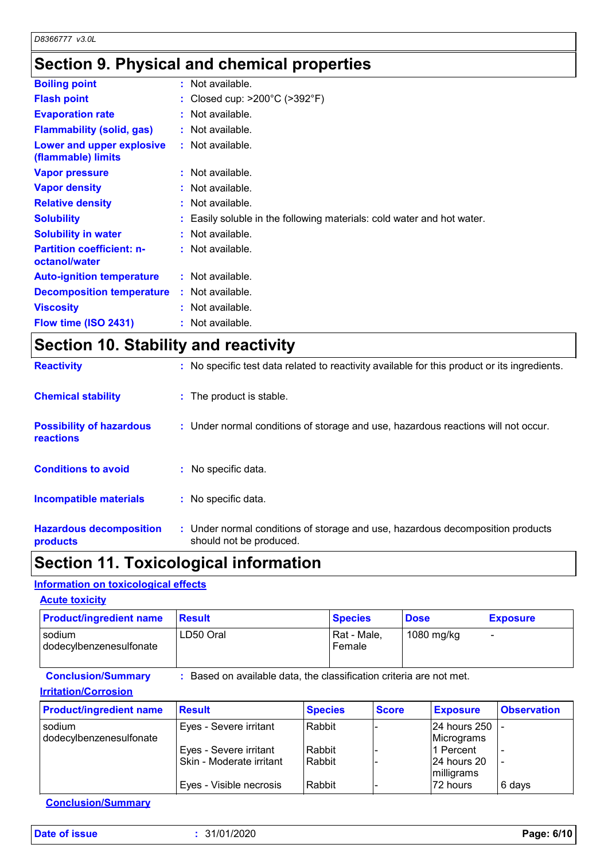# **Section 9. Physical and chemical properties**

| <b>Boiling point</b>                              | $:$ Not available.                                                     |
|---------------------------------------------------|------------------------------------------------------------------------|
| <b>Flash point</b>                                | : Closed cup: $>200^{\circ}$ C ( $>392^{\circ}$ F)                     |
| <b>Evaporation rate</b>                           | $:$ Not available.                                                     |
| <b>Flammability (solid, gas)</b>                  | $:$ Not available.                                                     |
| Lower and upper explosive<br>(flammable) limits   | $:$ Not available.                                                     |
| <b>Vapor pressure</b>                             | $:$ Not available.                                                     |
| <b>Vapor density</b>                              | $:$ Not available.                                                     |
| <b>Relative density</b>                           | $:$ Not available.                                                     |
| <b>Solubility</b>                                 | : Easily soluble in the following materials: cold water and hot water. |
| <b>Solubility in water</b>                        | $:$ Not available.                                                     |
| <b>Partition coefficient: n-</b><br>octanol/water | : Not available.                                                       |
| <b>Auto-ignition temperature</b>                  | $:$ Not available.                                                     |
| <b>Decomposition temperature</b>                  | : Not available.                                                       |
| <b>Viscosity</b>                                  | $:$ Not available.                                                     |
| Flow time (ISO 2431)                              | $:$ Not available.                                                     |

# **Section 10. Stability and reactivity**

| <b>Reactivity</b>                            | : No specific test data related to reactivity available for this product or its ingredients.              |
|----------------------------------------------|-----------------------------------------------------------------------------------------------------------|
| <b>Chemical stability</b>                    | : The product is stable.                                                                                  |
| <b>Possibility of hazardous</b><br>reactions | : Under normal conditions of storage and use, hazardous reactions will not occur.                         |
| <b>Conditions to avoid</b>                   | : No specific data.                                                                                       |
| <b>Incompatible materials</b>                | : No specific data.                                                                                       |
| <b>Hazardous decomposition</b><br>products   | : Under normal conditions of storage and use, hazardous decomposition products<br>should not be produced. |

# **Section 11. Toxicological information**

#### **Information on toxicological effects**

| <b>Acute toxicity</b>             |                                                                   |                       |             |                 |
|-----------------------------------|-------------------------------------------------------------------|-----------------------|-------------|-----------------|
| <b>Product/ingredient name</b>    | <b>Result</b>                                                     | <b>Species</b>        | <b>Dose</b> | <b>Exposure</b> |
| sodium<br>dodecylbenzenesulfonate | LD50 Oral                                                         | Rat - Male,<br>Female | 1080 mg/kg  |                 |
| <b>Conclusion/Summary</b>         | Based on available data, the classification criteria are not met. |                       |             |                 |

#### **Irritation/Corrosion**

| <b>Product/ingredient name</b>    | <b>Result</b>                                      | <b>Species</b>   | <b>Score</b> | <b>Exposure</b>                         | <b>Observation</b> |
|-----------------------------------|----------------------------------------------------|------------------|--------------|-----------------------------------------|--------------------|
| sodium<br>dodecylbenzenesulfonate | Eyes - Severe irritant                             | Rabbit           |              | 24 hours 250<br>Micrograms              |                    |
|                                   | Eyes - Severe irritant<br>Skin - Moderate irritant | Rabbit<br>Rabbit |              | 1 Percent<br>124 hours 20<br>milligrams |                    |
|                                   | Eyes - Visible necrosis                            | Rabbit           |              | 72 hours                                | 6 days             |

**Conclusion/Summary**

**Date of issue :** 31/01/2020 **Page: 6/10**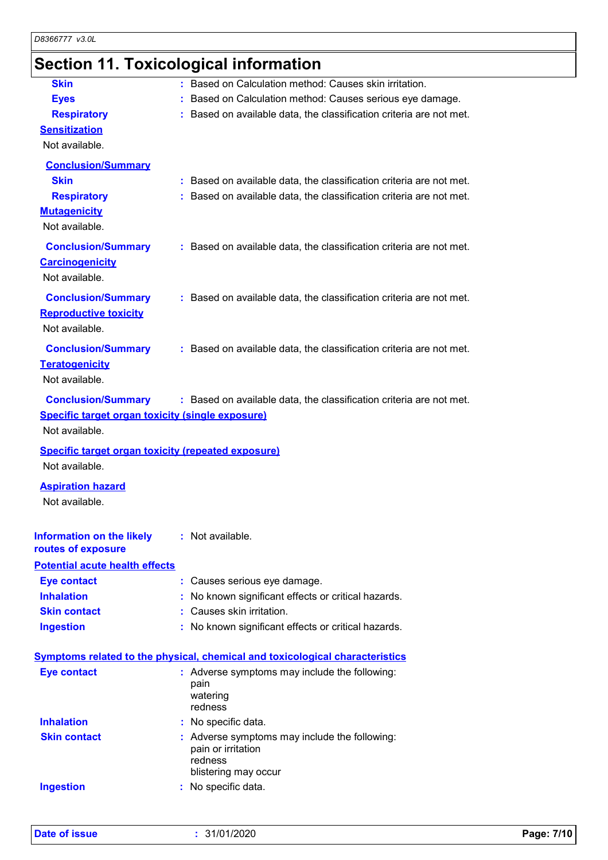# **Section 11. Toxicological information**

| <b>Skin</b>                                                                 | : Based on Calculation method: Causes skin irritation.                              |
|-----------------------------------------------------------------------------|-------------------------------------------------------------------------------------|
| <b>Eyes</b>                                                                 | Based on Calculation method: Causes serious eye damage.                             |
| <b>Respiratory</b>                                                          | : Based on available data, the classification criteria are not met.                 |
| <b>Sensitization</b>                                                        |                                                                                     |
| Not available.                                                              |                                                                                     |
| <b>Conclusion/Summary</b>                                                   |                                                                                     |
| <b>Skin</b>                                                                 | : Based on available data, the classification criteria are not met.                 |
| <b>Respiratory</b>                                                          | : Based on available data, the classification criteria are not met.                 |
| <b>Mutagenicity</b>                                                         |                                                                                     |
| Not available.                                                              |                                                                                     |
|                                                                             |                                                                                     |
| <b>Conclusion/Summary</b>                                                   | : Based on available data, the classification criteria are not met.                 |
| <b>Carcinogenicity</b>                                                      |                                                                                     |
| Not available.                                                              |                                                                                     |
| <b>Conclusion/Summary</b>                                                   | : Based on available data, the classification criteria are not met.                 |
| <b>Reproductive toxicity</b>                                                |                                                                                     |
| Not available.                                                              |                                                                                     |
| <b>Conclusion/Summary</b>                                                   | : Based on available data, the classification criteria are not met.                 |
| <b>Teratogenicity</b>                                                       |                                                                                     |
| Not available.                                                              |                                                                                     |
|                                                                             |                                                                                     |
| <b>Conclusion/Summary</b>                                                   | : Based on available data, the classification criteria are not met.                 |
| <b>Specific target organ toxicity (single exposure)</b>                     |                                                                                     |
| Not available.                                                              |                                                                                     |
|                                                                             |                                                                                     |
| <b>Specific target organ toxicity (repeated exposure)</b><br>Not available. |                                                                                     |
|                                                                             |                                                                                     |
| <b>Aspiration hazard</b><br>Not available.                                  |                                                                                     |
|                                                                             |                                                                                     |
| <b>Information on the likely</b><br>routes of exposure                      | : Not available.                                                                    |
| <b>Potential acute health effects</b>                                       |                                                                                     |
| <b>Eye contact</b>                                                          | : Causes serious eye damage.                                                        |
| <b>Inhalation</b>                                                           | : No known significant effects or critical hazards.                                 |
| <b>Skin contact</b>                                                         | : Causes skin irritation.                                                           |
| <b>Ingestion</b>                                                            | : No known significant effects or critical hazards.                                 |
|                                                                             |                                                                                     |
|                                                                             | <b>Symptoms related to the physical, chemical and toxicological characteristics</b> |
| <b>Eye contact</b>                                                          | : Adverse symptoms may include the following:                                       |
|                                                                             | pain                                                                                |
|                                                                             | watering<br>redness                                                                 |
|                                                                             |                                                                                     |
| <b>Inhalation</b>                                                           | : No specific data.                                                                 |
| <b>Skin contact</b>                                                         | : Adverse symptoms may include the following:<br>pain or irritation                 |
|                                                                             | redness                                                                             |
|                                                                             | blistering may occur                                                                |
| <b>Ingestion</b>                                                            | : No specific data.                                                                 |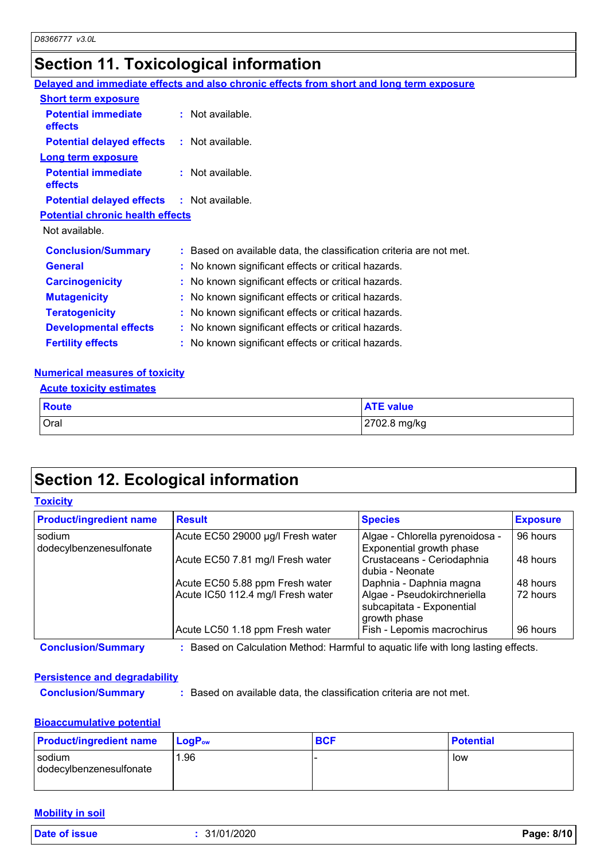# **Section 11. Toxicological information**

|                                                   | Delayed and immediate effects and also chronic effects from short and long term exposure |  |
|---------------------------------------------------|------------------------------------------------------------------------------------------|--|
| <b>Short term exposure</b>                        |                                                                                          |  |
| <b>Potential immediate</b><br><b>effects</b>      | $:$ Not available.                                                                       |  |
| <b>Potential delayed effects : Not available.</b> |                                                                                          |  |
| <b>Long term exposure</b>                         |                                                                                          |  |
| <b>Potential immediate</b><br>effects             | $:$ Not available.                                                                       |  |
| <b>Potential delayed effects : Not available.</b> |                                                                                          |  |
| <b>Potential chronic health effects</b>           |                                                                                          |  |
| Not available.                                    |                                                                                          |  |
| <b>Conclusion/Summary</b>                         | : Based on available data, the classification criteria are not met.                      |  |
| <b>General</b>                                    | : No known significant effects or critical hazards.                                      |  |
| <b>Carcinogenicity</b>                            | : No known significant effects or critical hazards.                                      |  |
| <b>Mutagenicity</b>                               | : No known significant effects or critical hazards.                                      |  |
| <b>Teratogenicity</b>                             | : No known significant effects or critical hazards.                                      |  |
| <b>Developmental effects</b>                      | : No known significant effects or critical hazards.                                      |  |
| <b>Fertility effects</b>                          | : No known significant effects or critical hazards.                                      |  |
|                                                   |                                                                                          |  |

#### **Numerical measures of toxicity**

| <b>Acute toxicity estimates</b> |  |
|---------------------------------|--|
|---------------------------------|--|

| <b>Route</b> | <b>ATE value</b> |
|--------------|------------------|
| Oral         | 2702.8 mg/kg     |

# **Section 12. Ecological information**

#### **Toxicity**

| <b>Product/ingredient name</b>    | <b>Result</b>                     | <b>Species</b>                                                           | <b>Exposure</b> |
|-----------------------------------|-----------------------------------|--------------------------------------------------------------------------|-----------------|
| sodium<br>dodecylbenzenesulfonate | Acute EC50 29000 µg/l Fresh water | Algae - Chlorella pyrenoidosa -<br>Exponential growth phase              | 96 hours        |
|                                   | Acute EC50 7.81 mg/l Fresh water  | Crustaceans - Ceriodaphnia<br>dubia - Neonate                            | 48 hours        |
|                                   | Acute EC50 5.88 ppm Fresh water   | Daphnia - Daphnia magna                                                  | 48 hours        |
|                                   | Acute IC50 112.4 mg/l Fresh water | Algae - Pseudokirchneriella<br>subcapitata - Exponential<br>growth phase | 72 hours        |
|                                   | Acute LC50 1.18 ppm Fresh water   | Fish - Lepomis macrochirus                                               | 96 hours        |

**Conclusion/Summary :** Based on Calculation Method: Harmful to aquatic life with long lasting effects.

#### **Persistence and degradability**

**Conclusion/Summary :** Based on available data, the classification criteria are not met.

#### **Bioaccumulative potential**

| <b>Product/ingredient name</b>    | <b>LogP</b> <sub>ow</sub> | <b>BCF</b> | <b>Potential</b> |
|-----------------------------------|---------------------------|------------|------------------|
| sodium<br>dodecylbenzenesulfonate | 96. ا                     |            | low              |

#### **Mobility in soil**

**Date of issue :** 31/01/2020 **Page: 8/10**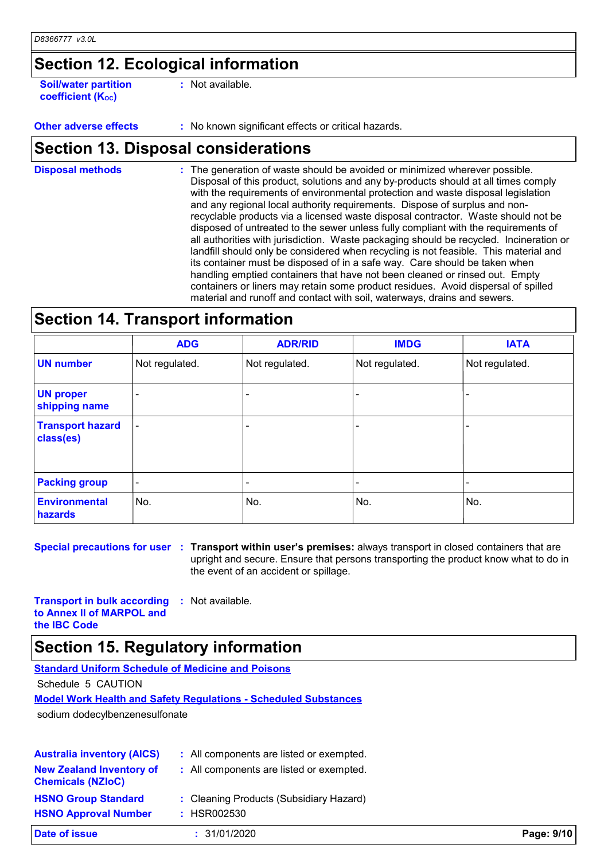# **Section 12. Ecological information**

**Soil/water partition coefficient (KOC)**

**:** Not available.

**Other adverse effects** : No known significant effects or critical hazards.

### **Section 13. Disposal considerations**

The generation of waste should be avoided or minimized wherever possible. Disposal of this product, solutions and any by-products should at all times comply with the requirements of environmental protection and waste disposal legislation and any regional local authority requirements. Dispose of surplus and nonrecyclable products via a licensed waste disposal contractor. Waste should not be disposed of untreated to the sewer unless fully compliant with the requirements of all authorities with jurisdiction. Waste packaging should be recycled. Incineration or landfill should only be considered when recycling is not feasible. This material and its container must be disposed of in a safe way. Care should be taken when handling emptied containers that have not been cleaned or rinsed out. Empty containers or liners may retain some product residues. Avoid dispersal of spilled material and runoff and contact with soil, waterways, drains and sewers. **Disposal methods :**

### **Section 14. Transport information**

|                                      | <b>ADG</b>               | <b>ADR/RID</b> | <b>IMDG</b>    | <b>IATA</b>    |
|--------------------------------------|--------------------------|----------------|----------------|----------------|
| <b>UN number</b>                     | Not regulated.           | Not regulated. | Not regulated. | Not regulated. |
| <b>UN proper</b><br>shipping name    |                          |                |                |                |
| <b>Transport hazard</b><br>class(es) | $\overline{\phantom{a}}$ |                |                |                |
| <b>Packing group</b>                 | $\blacksquare$           |                | -              |                |
| <b>Environmental</b><br>hazards      | No.                      | No.            | No.            | No.            |

**Special precautions for user Transport within user's premises:** always transport in closed containers that are **:** upright and secure. Ensure that persons transporting the product know what to do in the event of an accident or spillage.

**Transport in bulk according to Annex II of MARPOL and the IBC Code :** Not available.

### **Section 15. Regulatory information**

| <b>Standard Uniform Schedule of Medicine and Poisons</b>                |
|-------------------------------------------------------------------------|
| Schedule 5 CAUTION                                                      |
| <u> Model Work Health and Safety Requlations - Scheduled Substances</u> |
| sodium dodecylbenzenesulfonate                                          |
|                                                                         |

| Date of issue                                               | : 31/01/2020                             | Page: 9/10 |
|-------------------------------------------------------------|------------------------------------------|------------|
| <b>HSNO Approval Number</b>                                 | : HSR002530                              |            |
| <b>HSNO Group Standard</b>                                  | : Cleaning Products (Subsidiary Hazard)  |            |
| <b>New Zealand Inventory of</b><br><b>Chemicals (NZIoC)</b> | : All components are listed or exempted. |            |
| <b>Australia inventory (AICS)</b>                           | : All components are listed or exempted. |            |